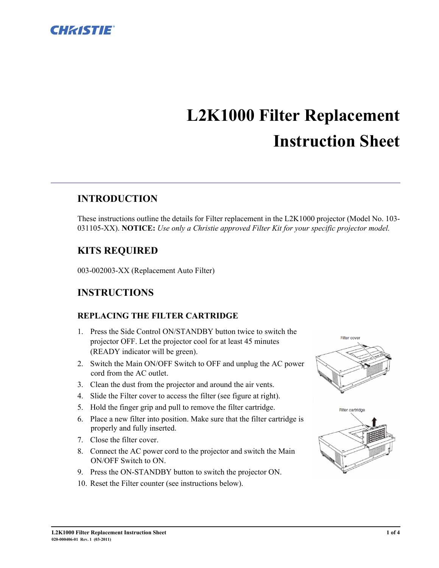

# **L2K1000 Filter Replacement Instruction Sheet**

## **INTRODUCTION**

These instructions outline the details for Filter replacement in the L2K1000 projector (Model No. 103- 031105-XX). **NOTICE:** *Use only a Christie approved Filter Kit for your specific projector model.*

## **KITS REQUIRED**

003-002003-XX (Replacement Auto Filter)

## **INSTRUCTIONS**

#### **REPLACING THE FILTER CARTRIDGE**

- 1. Press the Side Control ON/STANDBY button twice to switch the projector OFF. Let the projector cool for at least 45 minutes (READY indicator will be green).
- 2. Switch the Main ON/OFF Switch to OFF and unplug the AC power cord from the AC outlet.
- 3. Clean the dust from the projector and around the air vents.
- 4. Slide the Filter cover to access the filter (see figure at right).
- 5. Hold the finger grip and pull to remove the filter cartridge.
- 6. Place a new filter into position. Make sure that the filter cartridge is properly and fully inserted.
- 7. Close the filter cover.
- 8. Connect the AC power cord to the projector and switch the Main ON/OFF Switch to ON.
- 9. Press the ON-STANDBY button to switch the projector ON.
- 10. Reset the Filter counter (see instructions below).



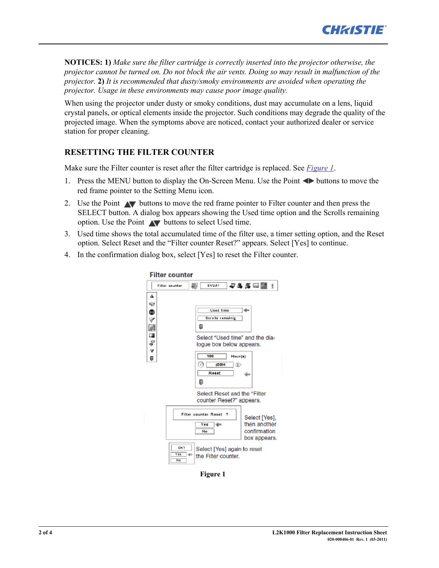

**NOTICES: 1)** *Make sure the filter cartridge is correctly inserted into the projector otherwise, the projector cannot be turned on. Do not block the air vents. Doing so may result in malfunction of the projector.* **2)** *It is recommended that dusty/smoky environments are avoided when operating the projector. Usage in these environments may cause poor image quality.* 

When using the projector under dusty or smoky conditions, dust may accumulate on a lens, liquid crystal panels, or optical elements inside the projector. Such conditions may degrade the quality of the projected image. When the symptoms above are noticed, contact your authorized dealer or service station for proper cleaning.

### **RESETTING THE FILTER COUNTER**

Make sure the Filter counter is reset after the filter cartridge is replaced. See *Figure 1*.

- 1. Press the MENU button to display the On-Screen Menu. Use the Point  $\blacktriangle$  buttons to move the red frame pointer to the Setting Menu icon.
- 2. Use the Point  $\blacktriangle$  buttons to move the red frame pointer to Filter counter and then press the SELECT button. A dialog box appears showing the Used time option and the Scrolls remaining option. Use the Point  $\blacktriangle\blacktriangledown$  buttons to select Used time.
- 3. Used time shows the total accumulated time of the filter use, a timer setting option, and the Reset option. Select Reset and the "Filter counter Reset?" appears. Select [Yes] to continue.
- 4. In the confirmation dialog box, select [Yes] to reset the Filter counter.



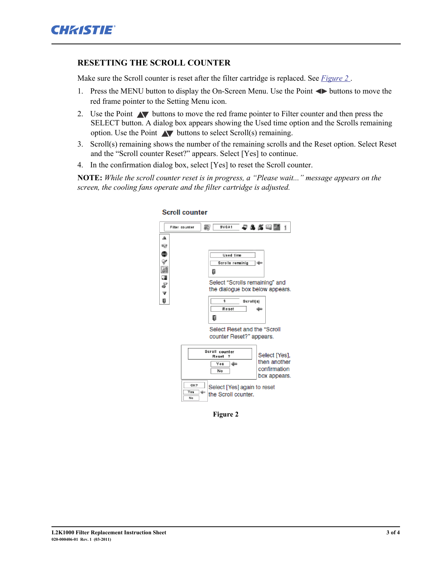#### **RESETTING THE SCROLL COUNTER**

Make sure the Scroll counter is reset after the filter cartridge is replaced. See *[Figure 2](#page-2-0)* .

- 1. Press the MENU button to display the On-Screen Menu. Use the Point  $\blacktriangle$  buttons to move the red frame pointer to the Setting Menu icon.
- 2. Use the Point  $\blacktriangle$  buttons to move the red frame pointer to Filter counter and then press the SELECT button. A dialog box appears showing the Used time option and the Scrolls remaining option. Use the Point  $\triangle\blacktriangledown$  buttons to select Scroll(s) remaining.
- 3. Scroll(s) remaining shows the number of the remaining scrolls and the Reset option. Select Reset and the "Scroll counter Reset?" appears. Select [Yes] to continue.
- 4. In the confirmation dialog box, select [Yes] to reset the Scroll counter.

**NOTE:** *While the scroll counter reset is in progress, a "Please wait..." message appears on the screen, the cooling fans operate and the filter cartridge is adjusted.* 



#### **Scroll counter**

<span id="page-2-0"></span>**Figure 2**